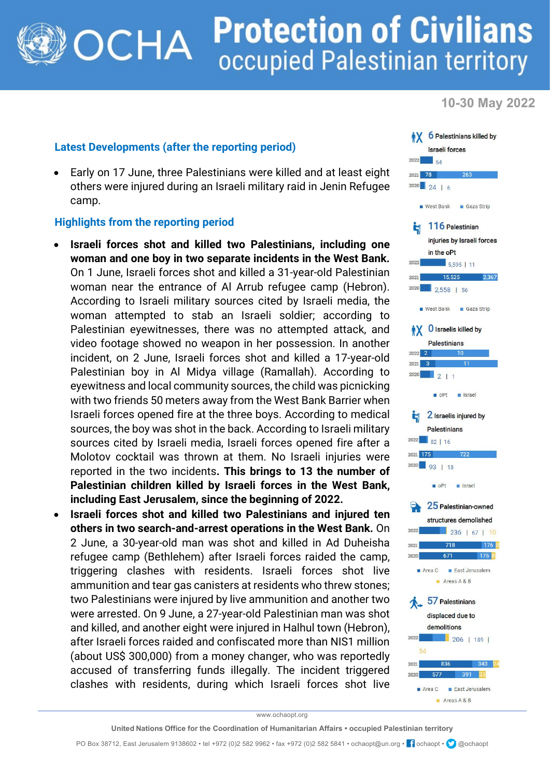## **Protection of Civilians** OCHA occupied Palestinian territory

**10-30 May 2022**

## **Latest Developments (after the reporting period)**

• Early on 17 June, three Palestinians were killed and at least eight others were injured during an Israeli military raid in Jenin Refugee camp.

## **Highlights from the reporting period**

- **Israeli forces shot and killed two Palestinians, including one woman and one boy in two separate incidents in the West Bank.** On 1 June, Israeli forces shot and killed a 31-year-old Palestinian woman near the entrance of Al Arrub refugee camp (Hebron). According to Israeli military sources cited by Israeli media, the woman attempted to stab an Israeli soldier; according to Palestinian eyewitnesses, there was no attempted attack, and video footage showed no weapon in her possession. In another incident, on 2 June, Israeli forces shot and killed a 17-year-old Palestinian boy in Al Midya village (Ramallah). According to eyewitness and local community sources, the child was picnicking with two friends 50 meters away from the West Bank Barrier when Israeli forces opened fire at the three boys. According to medical sources, the boy was shot in the back. According to Israeli military sources cited by Israeli media, Israeli forces opened fire after a Molotov cocktail was thrown at them. No Israeli injuries were reported in the two incidents**. This brings to 13 the number of Palestinian children killed by Israeli forces in the West Bank, including East Jerusalem, since the beginning of 2022.**
- **Israeli forces shot and killed two Palestinians and injured ten others in two search-and-arrest operations in the West Bank.** On 2 June, a 30-year-old man was shot and killed in Ad Duheisha refugee camp (Bethlehem) after Israeli forces raided the camp, triggering clashes with residents. Israeli forces shot live ammunition and tear gas canisters at residents who threw stones; two Palestinians were injured by live ammunition and another two were arrested. On 9 June, a 27-year-old Palestinian man was shot and killed, and another eight were injured in Halhul town (Hebron), after Israeli forces raided and confiscated more than NIS1 million (about US\$ 300,000) from a money changer, who was reportedly accused of transferring funds illegally. The incident triggered clashes with residents, during which Israeli forces shot live



www.ochaopt.org

PO Box 38712, East Jerusalem 9138602 • tel +972 (0)2 582 9962 • fax +972 (0)2 582 5841 • ochaopt@un.org • <sup>1</sup> ochaopt • @ @ochaopt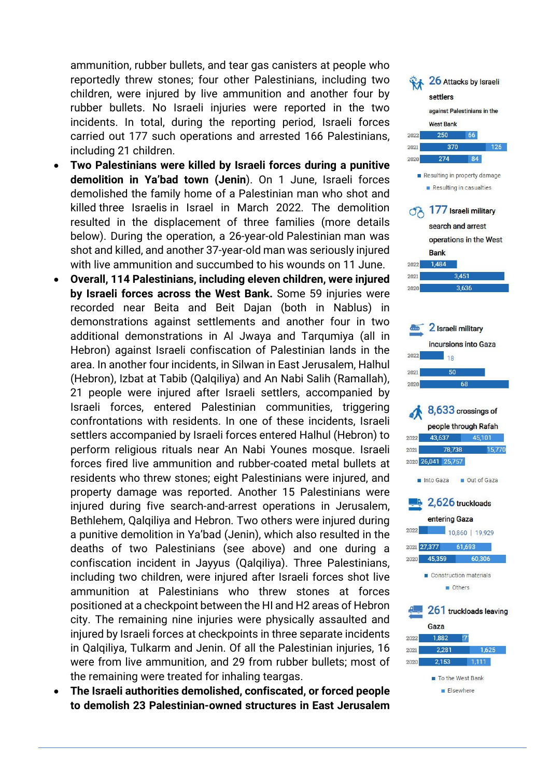ammunition, rubber bullets, and tear gas canisters at people who reportedly threw stones; four other Palestinians, including two children, were injured by live ammunition and another four by rubber bullets. No Israeli injuries were reported in the two incidents. In total, during the reporting period, Israeli forces carried out 177 such operations and arrested 166 Palestinians, including 21 children.

- **Two Palestinians were killed by Israeli forces during a punitive demolition in Ya'bad town (Jenin**). On 1 June, Israeli forces demolished the family home of a Palestinian man who shot and killed three Israelis in Israel in March 2022. The demolition resulted in the displacement of three families (more details below). During the operation, a 26-year-old Palestinian man was shot and killed, and another 37-year-old man was seriously injured with live ammunition and succumbed to his wounds on 11 June.
- **Overall, 114 Palestinians, including eleven children, were injured by Israeli forces across the West Bank.** Some 59 injuries were recorded near Beita and Beit Dajan (both in Nablus) in demonstrations against settlements and another four in two additional demonstrations in Al Jwaya and Tarqumiya (all in Hebron) against Israeli confiscation of Palestinian lands in the area. In another four incidents, in Silwan in East Jerusalem, Halhul (Hebron), Izbat at Tabib (Qalqiliya) and An Nabi Salih (Ramallah), 21 people were injured after Israeli settlers, accompanied by Israeli forces, entered Palestinian communities, triggering confrontations with residents. In one of these incidents, Israeli settlers accompanied by Israeli forces entered Halhul (Hebron) to perform religious rituals near An Nabi Younes mosque. Israeli forces fired live ammunition and rubber-coated metal bullets at residents who threw stones; eight Palestinians were injured, and property damage was reported. Another 15 Palestinians were injured during five search-and-arrest operations in Jerusalem, Bethlehem, Qalqiliya and Hebron. Two others were injured during a punitive demolition in Ya'bad (Jenin), which also resulted in the deaths of two Palestinians (see above) and one during a confiscation incident in Jayyus (Qalqiliya). Three Palestinians, including two children, were injured after Israeli forces shot live ammunition at Palestinians who threw stones at forces positioned at a checkpoint between the HI and H2 areas of Hebron city. The remaining nine injuries were physically assaulted and injured by Israeli forces at checkpoints in three separate incidents in Qalqiliya, Tulkarm and Jenin. Of all the Palestinian injuries, 16 were from live ammunition, and 29 from rubber bullets; most of the remaining were treated for inhaling teargas.
- **The Israeli authorities demolished, confiscated, or forced people to demolish 23 Palestinian-owned structures in East Jerusalem**

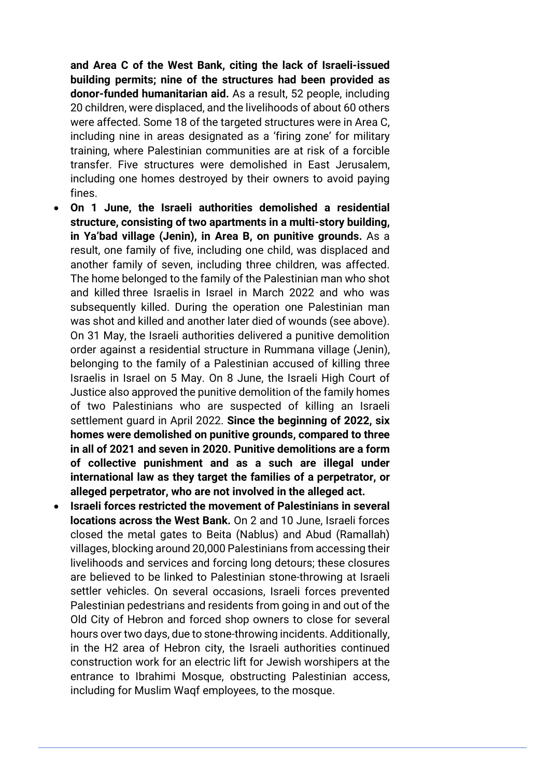**and Area C of the West Bank, citing the lack of Israeli-issued building permits; nine of the structures had been provided as donor-funded humanitarian aid.** As a result, 52 people, including 20 children, were displaced, and the livelihoods of about 60 others were affected. Some 18 of the targeted structures were in Area C, including nine in areas designated as a 'firing zone' for military training, where Palestinian communities are at risk of a forcible transfer. Five structures were demolished in East Jerusalem, including one homes destroyed by their owners to avoid paying fines.

- **On 1 June, the Israeli authorities demolished a residential structure, consisting of two apartments in a multi-story building, in Ya'bad village (Jenin), in Area B, on punitive grounds.** As a result, one family of five, including one child, was displaced and another family of seven, including three children, was affected. The home belonged to the family of the Palestinian man who shot and killed three Israelis in Israel in March 2022 and who was subsequently killed. During the operation one Palestinian man was shot and killed and another later died of wounds (see above). On 31 May, the Israeli authorities delivered a punitive demolition order against a residential structure in Rummana village (Jenin), belonging to the family of a Palestinian accused of killing three Israelis in Israel on 5 May. On 8 June, the Israeli High Court of Justice also approved the punitive demolition of the family homes of two Palestinians who are suspected of killing an Israeli settlement guard in April 2022. **Since the beginning of 2022, six homes were demolished on punitive grounds, compared to three in all of 2021 and seven in 2020. Punitive demolitions are a form of collective punishment and as a such are illegal under international law as they target the families of a perpetrator, or alleged perpetrator, who are not involved in the alleged act.**
- **Israeli forces restricted the movement of Palestinians in several locations across the West Bank.** On 2 and 10 June, Israeli forces closed the metal gates to Beita (Nablus) and Abud (Ramallah) villages, blocking around 20,000 Palestinians from accessing their livelihoods and services and forcing long detours; these closures are believed to be linked to Palestinian stone-throwing at Israeli settler vehicles. On several occasions, Israeli forces prevented Palestinian pedestrians and residents from going in and out of the Old City of Hebron and forced shop owners to close for several hours over two days, due to stone-throwing incidents. Additionally, in the H2 area of Hebron city, the Israeli authorities continued construction work for an electric lift for Jewish worshipers at the entrance to Ibrahimi Mosque, obstructing Palestinian access, including for Muslim Waqf employees, to the mosque.